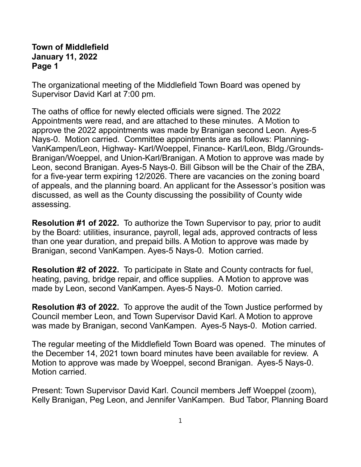## **Town of Middlefield January 11, 2022 Page 1**

The organizational meeting of the Middlefield Town Board was opened by Supervisor David Karl at 7:00 pm.

The oaths of office for newly elected officials were signed. The 2022 Appointments were read, and are attached to these minutes. A Motion to approve the 2022 appointments was made by Branigan second Leon. Ayes-5 Nays-0. Motion carried. Committee appointments are as follows: Planning-VanKampen/Leon, Highway- Karl/Woeppel, Finance- Karl/Leon, Bldg./Grounds-Branigan/Woeppel, and Union-Karl/Branigan. A Motion to approve was made by Leon, second Branigan. Ayes-5 Nays-0. Bill Gibson will be the Chair of the ZBA, for a five-year term expiring 12/2026. There are vacancies on the zoning board of appeals, and the planning board. An applicant for the Assessor's position was discussed, as well as the County discussing the possibility of County wide assessing.

**Resolution #1 of 2022.** To authorize the Town Supervisor to pay, prior to audit by the Board: utilities, insurance, payroll, legal ads, approved contracts of less than one year duration, and prepaid bills. A Motion to approve was made by Branigan, second VanKampen. Ayes-5 Nays-0. Motion carried.

**Resolution #2 of 2022.** To participate in State and County contracts for fuel, heating, paving, bridge repair, and office supplies. A Motion to approve was made by Leon, second VanKampen. Ayes-5 Nays-0. Motion carried.

**Resolution #3 of 2022.** To approve the audit of the Town Justice performed by Council member Leon, and Town Supervisor David Karl. A Motion to approve was made by Branigan, second VanKampen. Ayes-5 Nays-0. Motion carried.

The regular meeting of the Middlefield Town Board was opened. The minutes of the December 14, 2021 town board minutes have been available for review. A Motion to approve was made by Woeppel, second Branigan. Ayes-5 Nays-0. Motion carried.

Present: Town Supervisor David Karl. Council members Jeff Woeppel (zoom), Kelly Branigan, Peg Leon, and Jennifer VanKampen. Bud Tabor, Planning Board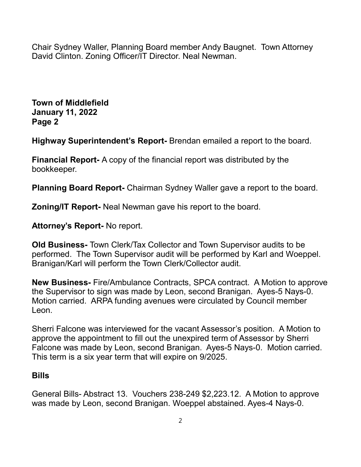Chair Sydney Waller, Planning Board member Andy Baugnet. Town Attorney David Clinton. Zoning Officer/IT Director. Neal Newman.

**Town of Middlefield January 11, 2022 Page 2**

**Highway Superintendent's Report-** Brendan emailed a report to the board.

**Financial Report-** A copy of the financial report was distributed by the bookkeeper.

**Planning Board Report-** Chairman Sydney Waller gave a report to the board.

**Zoning/IT Report-** Neal Newman gave his report to the board.

**Attorney's Report-** No report.

**Old Business-** Town Clerk/Tax Collector and Town Supervisor audits to be performed. The Town Supervisor audit will be performed by Karl and Woeppel. Branigan/Karl will perform the Town Clerk/Collector audit.

**New Business-** Fire/Ambulance Contracts, SPCA contract. A Motion to approve the Supervisor to sign was made by Leon, second Branigan. Ayes-5 Nays-0. Motion carried. ARPA funding avenues were circulated by Council member Leon.

Sherri Falcone was interviewed for the vacant Assessor's position. A Motion to approve the appointment to fill out the unexpired term of Assessor by Sherri Falcone was made by Leon, second Branigan. Ayes-5 Nays-0. Motion carried. This term is a six year term that will expire on 9/2025.

## **Bills**

General Bills- Abstract 13. Vouchers 238-249 \$2,223.12. A Motion to approve was made by Leon, second Branigan. Woeppel abstained. Ayes-4 Nays-0.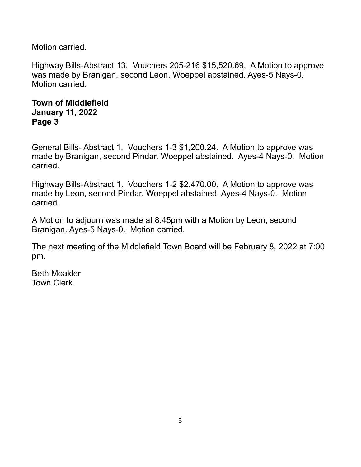Motion carried.

Highway Bills-Abstract 13. Vouchers 205-216 \$15,520.69. A Motion to approve was made by Branigan, second Leon. Woeppel abstained. Ayes-5 Nays-0. Motion carried.

## **Town of Middlefield January 11, 2022 Page 3**

General Bills- Abstract 1. Vouchers 1-3 \$1,200.24. A Motion to approve was made by Branigan, second Pindar. Woeppel abstained. Ayes-4 Nays-0. Motion carried.

Highway Bills-Abstract 1. Vouchers 1-2 \$2,470.00. A Motion to approve was made by Leon, second Pindar. Woeppel abstained. Ayes-4 Nays-0. Motion carried.

A Motion to adjourn was made at 8:45pm with a Motion by Leon, second Branigan. Ayes-5 Nays-0. Motion carried.

The next meeting of the Middlefield Town Board will be February 8, 2022 at 7:00 pm.

Beth Moakler Town Clerk